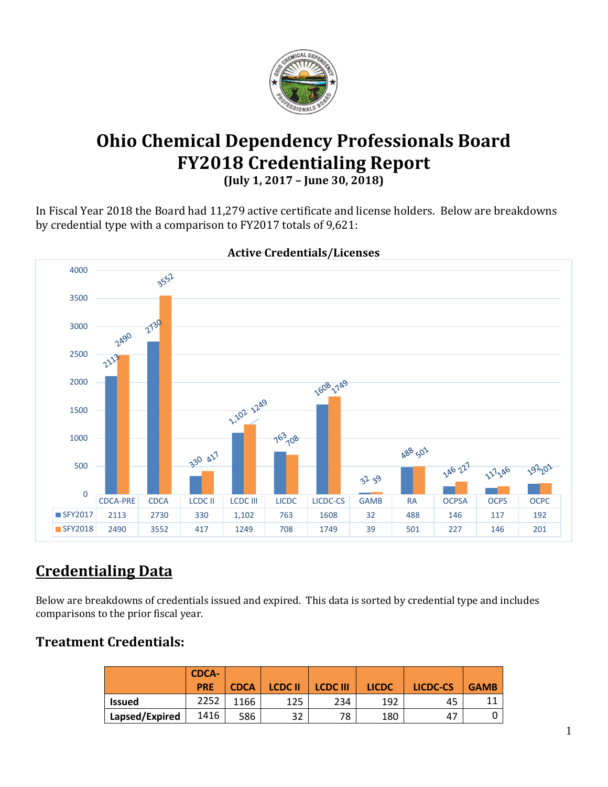

# **Ohio Chemical Dependency Professionals Board FY2018 Credentialing Report**

**(July 1, 2017 – June 30, 2018)**

In Fiscal Year 2018 the Board had 11,279 active certificate and license holders. Below are breakdowns by credential type with a comparison to FY2017 totals of 9,621:



#### **Active Credentials/Licenses**

# **Credentialing Data**

Below are breakdowns of credentials issued and expired. This data is sorted by credential type and includes comparisons to the prior fiscal year.

### **Treatment Credentials:**

|                | <b>CDCA-</b><br><b>PRE</b> | <b>CDCA</b> | <b>LCDC II</b> | <b>LCDC III</b> | <b>LICDC</b> | LICDC-CS | <b>GAMB</b> |
|----------------|----------------------------|-------------|----------------|-----------------|--------------|----------|-------------|
| <b>Issued</b>  | 2252                       | 1166        | 125            | 234             | 192          | 45       |             |
| Lapsed/Expired | 1416                       | 586         | つつ<br>ے ر      | 78              | 180          | -47      |             |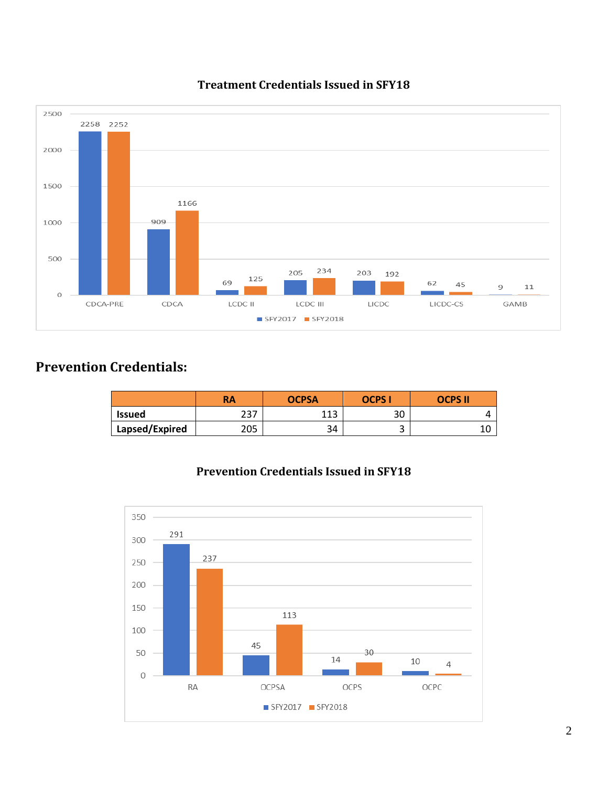

#### **Treatment Credentials Issued in SFY18**

# **Prevention Credentials:**

|                | RA         | <b>OCPSA</b> | <b>OCPS</b> | <b>OCPS II</b> |  |
|----------------|------------|--------------|-------------|----------------|--|
| <b>Issued</b>  | つつつ<br>، ب | 11)<br>ᆂᆂᆋ   | 30          |                |  |
| Lapsed/Expired | 205        | ີ 1<br>34    | ں           |                |  |



#### **Prevention Credentials Issued in SFY18**